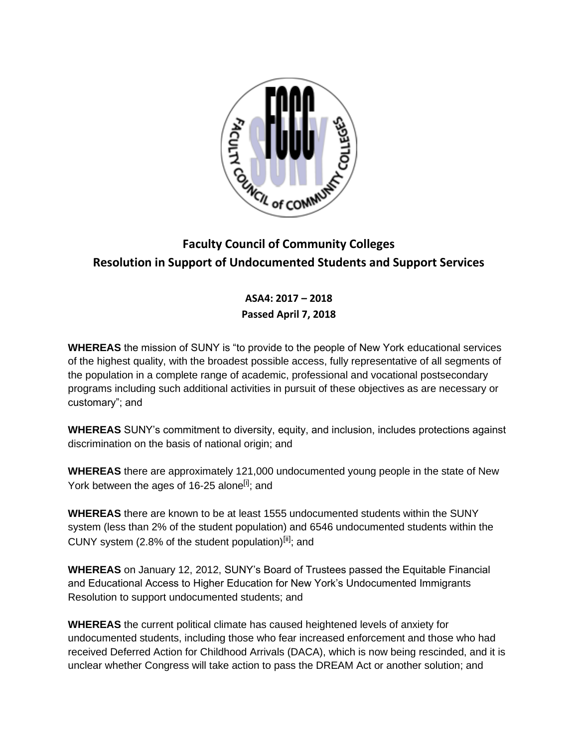

## **Faculty Council of Community Colleges Resolution in Support of Undocumented Students and Support Services**

## **ASA4: 2017 – 2018 Passed April 7, 2018**

**WHEREAS** the mission of SUNY is "to provide to the people of New York educational services of the highest quality, with the broadest possible access, fully representative of all segments of the population in a complete range of academic, professional and vocational postsecondary programs including such additional activities in pursuit of these objectives as are necessary or customary"; and

**WHEREAS** SUNY's commitment to diversity, equity, and inclusion, includes protections against discrimination on the basis of national origin; and

**WHEREAS** there are approximately 121,000 undocumented young people in the state of New York between the ages of 16-25 alone<sup>[i]</sup>; and

**WHEREAS** there are known to be at least 1555 undocumented students within the SUNY system (less than 2% of the student population) and 6546 undocumented students within the CUNY system (2.8% of the student population)<sup>[ii]</sup>; and

**WHEREAS** on January 12, 2012, SUNY's Board of Trustees passed the Equitable Financial and Educational Access to Higher Education for New York's Undocumented Immigrants Resolution to support undocumented students; and

**WHEREAS** the current political climate has caused heightened levels of anxiety for undocumented students, including those who fear increased enforcement and those who had received Deferred Action for Childhood Arrivals (DACA), which is now being rescinded, and it is unclear whether Congress will take action to pass the DREAM Act or another solution; and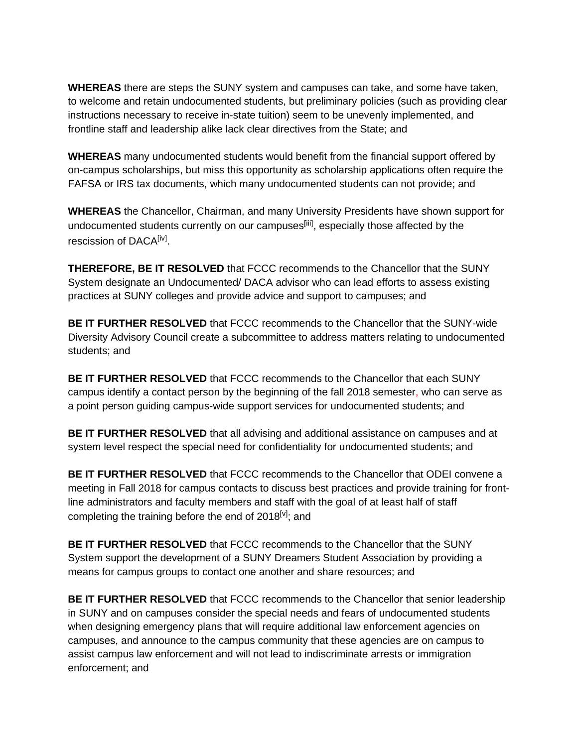**WHEREAS** there are steps the SUNY system and campuses can take, and some have taken, to welcome and retain undocumented students, but preliminary policies (such as providing clear instructions necessary to receive in-state tuition) seem to be unevenly implemented, and frontline staff and leadership alike lack clear directives from the State; and

**WHEREAS** many undocumented students would benefit from the financial support offered by on-campus scholarships, but miss this opportunity as scholarship applications often require the FAFSA or IRS tax documents, which many undocumented students can not provide; and

**WHEREAS** the Chancellor, Chairman, and many University Presidents have shown support for undocumented students currently on our campuses<sup>[iii]</sup>, especially those affected by the rescission of DACA<sup>[iv]</sup>.

**THEREFORE, BE IT RESOLVED** that FCCC recommends to the Chancellor that the SUNY System designate an Undocumented/ DACA advisor who can lead efforts to assess existing practices at SUNY colleges and provide advice and support to campuses; and

**BE IT FURTHER RESOLVED** that FCCC recommends to the Chancellor that the SUNY-wide Diversity Advisory Council create a subcommittee to address matters relating to undocumented students; and

**BE IT FURTHER RESOLVED** that FCCC recommends to the Chancellor that each SUNY campus identify a contact person by the beginning of the fall 2018 semester, who can serve as a point person guiding campus-wide support services for undocumented students; and

**BE IT FURTHER RESOLVED** that all advising and additional assistance on campuses and at system level respect the special need for confidentiality for undocumented students; and

**BE IT FURTHER RESOLVED** that FCCC recommends to the Chancellor that ODEI convene a meeting in Fall 2018 for campus contacts to discuss best practices and provide training for frontline administrators and faculty members and staff with the goal of at least half of staff completing the training before the end of  $2018^{[v]}$ : and

**BE IT FURTHER RESOLVED** that FCCC recommends to the Chancellor that the SUNY System support the development of a SUNY Dreamers Student Association by providing a means for campus groups to contact one another and share resources; and

**BE IT FURTHER RESOLVED** that FCCC recommends to the Chancellor that senior leadership in SUNY and on campuses consider the special needs and fears of undocumented students when designing emergency plans that will require additional law enforcement agencies on campuses, and announce to the campus community that these agencies are on campus to assist campus law enforcement and will not lead to indiscriminate arrests or immigration enforcement; and